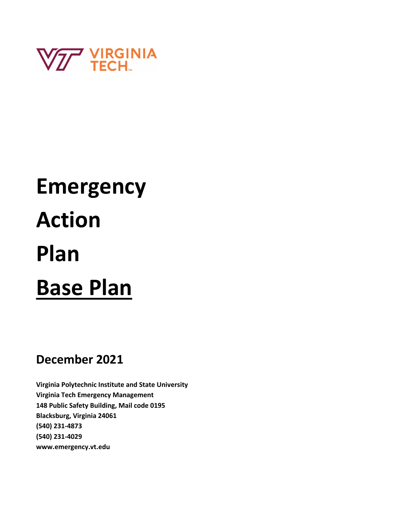

# **Emergency Action Plan Base Plan**

# **December 2021**

**Virginia Polytechnic Institute and State University Virginia Tech Emergency Management 148 Public Safety Building, Mail code 0195 Blacksburg, Virginia 24061 (540) 231-4873 (540) 231-4029 www.emergency.vt.edu**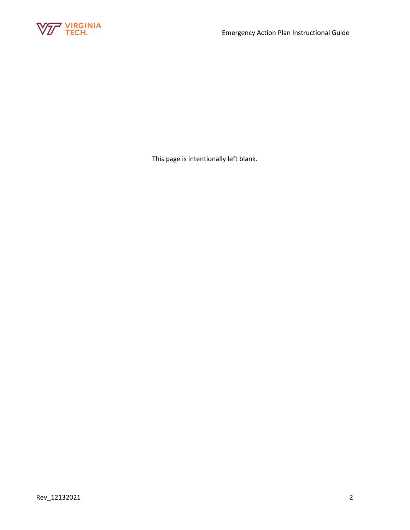

This page is intentionally left blank.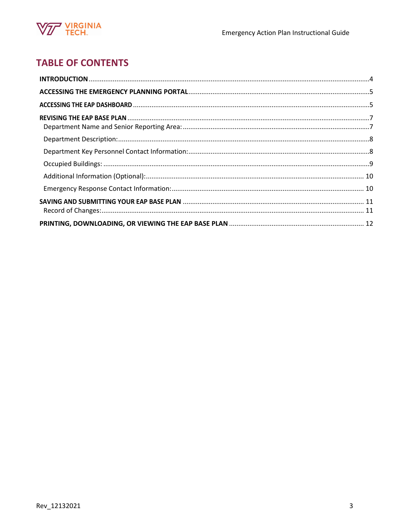

# **TABLE OF CONTENTS**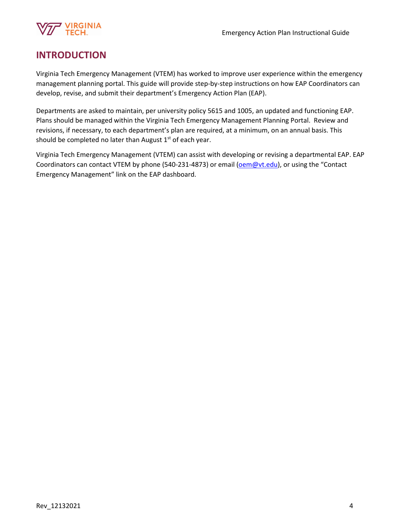

# <span id="page-3-0"></span>**INTRODUCTION**

Virginia Tech Emergency Management (VTEM) has worked to improve user experience within the emergency management planning portal. This guide will provide step-by-step instructions on how EAP Coordinators can develop, revise, and submit their department's Emergency Action Plan (EAP).

Departments are asked to maintain, per university policy 5615 and 1005, an updated and functioning EAP. Plans should be managed within the Virginia Tech Emergency Management Planning Portal. Review and revisions, if necessary, to each department's plan are required, at a minimum, on an annual basis. This should be completed no later than August  $1<sup>st</sup>$  of each year.

Virginia Tech Emergency Management (VTEM) can assist with developing or revising a departmental EAP. EAP Coordinators can contact VTEM by phone (540-231-4873) or email [\(oem@vt.edu\)](mailto:oem@vt.edu), or using the "Contact Emergency Management" link on the EAP dashboard.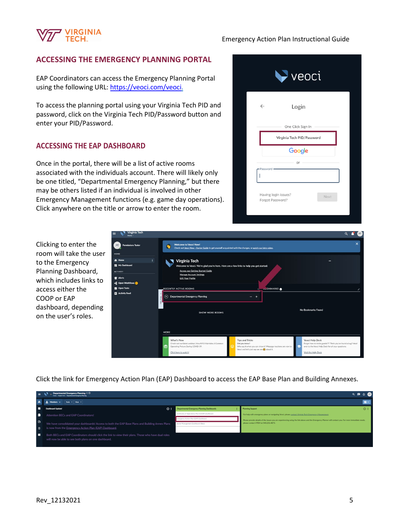

# <span id="page-4-0"></span>**ACCESSING THE EMERGENCY PLANNING PORTAL**

EAP Coordinators can access the Emergency Planning Portal using the following URL: [https://veoci.com/veoci.](https://veoci.com/veoci)

To access the planning portal using your Virginia Tech PID and password, click on the Virginia Tech PID/Password button and enter your PID/Password.

#### <span id="page-4-1"></span>**ACCESSING THE EAP DASHBOARD**

**VIRGINIA**<br>TECH.

Once in the portal, there will be a list of active rooms associated with the individuals account. There will likely only be one titled, "Departmental Emergency Planning," but there may be others listed if an individual is involved in other Emergency Management functions (e.g. game day operations). Click anywhere on the title or arrow to enter the room.

| veoci v      |                                                 |      |  |
|--------------|-------------------------------------------------|------|--|
| $\leftarrow$ | Login                                           |      |  |
|              | One Click Sign In<br>Virginia Tech PID/Password |      |  |
|              | Google                                          |      |  |
| - Password - | or                                              |      |  |
|              | Having login issues?<br>Forgot Password?        | Next |  |

Clicking to enter the room will take the user to the Emergency Planning Dashboard, which includes links to access either the COOP or EAP dashboard, depending on the user's roles.



Click the link for Emergency Action Plan (EAP) Dashboard to access the EAP Base Plan and Building Annexes.

| $=$       | Departmental Emergency Planning $\Box$ $\odot$<br>Home / Virginia Toch / Departmental Emergency Planning                                                    |                                                |                                                                                                                                                      |
|-----------|-------------------------------------------------------------------------------------------------------------------------------------------------------------|------------------------------------------------|------------------------------------------------------------------------------------------------------------------------------------------------------|
|           | Tools $x \parallel$ View $x$                                                                                                                                |                                                |                                                                                                                                                      |
|           | $\odot$ :<br><b>Dashboard Update!</b>                                                                                                                       | Departmental Emergency Planning Dashboards     | Planning Support<br>ෙ:                                                                                                                               |
| Ð         | Attention BECs and EAP Coordinators!                                                                                                                        | Continuity of Operations Plan (COOP) Dashboard | For help with emergency plans or navigating Veoci, please contact Virginia Tech Emergency Management.                                                |
| <b>D</b>  |                                                                                                                                                             | Emergency Action Plan (EAP) Dashboard          | Please provide details of the issues you are experiencing using the link above and the Emergency Planner will contact you. For more immediate needs, |
|           | We have consolidated your dashboards! Access to both the EAP Base Plans and Building Annex Plans                                                            | Senior Management Dashboard (Beta)             | please contact VTEM at 540.231.4873.                                                                                                                 |
| <b>B</b>  | is now from the Emergency Action Plan (EAP) Dashboard.                                                                                                      |                                                |                                                                                                                                                      |
| <b>II</b> | Both BECs and EAP Coordinators should click the link to view their plans. Those who have dual roles<br>will now be able to see both plans on one dashboard. |                                                |                                                                                                                                                      |
|           |                                                                                                                                                             |                                                |                                                                                                                                                      |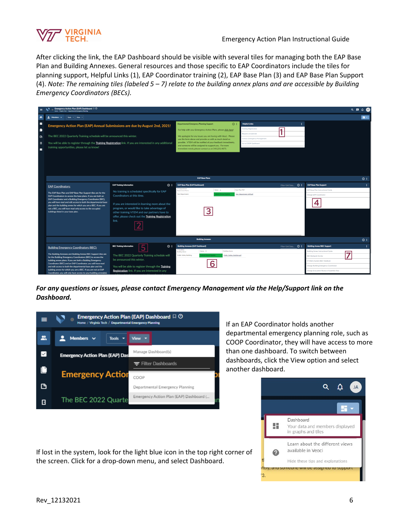

After clicking the link, the EAP Dashboard should be visible with several tiles for managing both the EAP Base Plan and Building Annexes. General resources and those specific to EAP Coordinators include the tiles for planning support, Helpful Links (1), EAP Coordinator training (2), EAP Base Plan (3) and EAP Base Plan Support (4). *Note: The remaining tiles (labeled 5 – 7) relate to the building annex plans and are accessible by Building Emergency Coordinators (BECs).*

|                                       | Emergency Action Plan (EAP) Dashboard $\Box$ O<br><b>Virginia Toch / Departmental Emergency Planning</b>                                                                                                                                                                                               |                                                                                                                                                                                                               |                                                                                                                                                                                                                                           |                                                                 | $\begin{array}{c} \mathbf{A} & \mathbf{B} & \mathbf{B} & \mathbf{A} \end{array}$                         |
|---------------------------------------|--------------------------------------------------------------------------------------------------------------------------------------------------------------------------------------------------------------------------------------------------------------------------------------------------------|---------------------------------------------------------------------------------------------------------------------------------------------------------------------------------------------------------------|-------------------------------------------------------------------------------------------------------------------------------------------------------------------------------------------------------------------------------------------|-----------------------------------------------------------------|----------------------------------------------------------------------------------------------------------|
|                                       | Tools - View -                                                                                                                                                                                                                                                                                         |                                                                                                                                                                                                               |                                                                                                                                                                                                                                           |                                                                 | 書き                                                                                                       |
| $\overline{\phantom{a}}$<br>$\bullet$ | Emergency Action Plan (EAP) Annual Submissions are due by August 2nd, 2021!                                                                                                                                                                                                                            |                                                                                                                                                                                                               | <b>Departmental Emergency Planning Support</b><br>$\odot$ :<br>For help with your Emergency Action Plans, please click here!                                                                                                              | <b>Helpful Links</b><br>÷.<br><b>Training Registration</b><br>4 |                                                                                                          |
| $\Box$                                | The BEC 2022 Quarterly Training schedule will be announced this winter.                                                                                                                                                                                                                                |                                                                                                                                                                                                               | We apologize for any issues you are having with Veoci. Please                                                                                                                                                                             | Request an Exercise<br>Contact Emergency Management             |                                                                                                          |
| -8<br>в                               | training opportunities, please let us know!                                                                                                                                                                                                                                                            | You will be able to register through the Training Registration link. If you are interested in any additional                                                                                                  | use the form above and provide us with as much detail as<br>possible. VTEM will be notified of your feedback immediately.<br>and someone will be assigned to support you. For more<br>immediate needs, please contact us at 540.231.4873. | Go to COOP Dashboard                                            |                                                                                                          |
|                                       |                                                                                                                                                                                                                                                                                                        |                                                                                                                                                                                                               |                                                                                                                                                                                                                                           |                                                                 |                                                                                                          |
|                                       |                                                                                                                                                                                                                                                                                                        |                                                                                                                                                                                                               | <b>EAP Base Plans</b>                                                                                                                                                                                                                     |                                                                 | $\odot$ :                                                                                                |
|                                       | <b>EAP Coordinators:</b>                                                                                                                                                                                                                                                                               | <b>EAP Training Information</b><br>$\odot$ :                                                                                                                                                                  | <b>EAP Base Plan (EAP Dashboard)</b><br>Departmen                                                                                                                                                                                         | Filter Grid Data (D :<br><b>Base Plan PDF</b>                   | <b>EAP Base Plan Support</b>                                                                             |
|                                       | The EAP Base Plan and EAP Base Plan Support tiles are for the<br>EAP Coordinators to access the base plans. If you are both an                                                                                                                                                                         | No training is scheduled specifically for EAP<br>Coordinators at this time.                                                                                                                                   | Status (L)<br><b>Continued Name</b><br>ubmit Annual Update<br><b>Test Department</b>                                                                                                                                                      | Test Department EAP.pdf                                         | <b>EAP Base Plan Instructional Guide</b><br>Change EAP Coordinator                                       |
|                                       | EAP Coordinator and a Building Emergency Coordinator (BEC),<br>you will have read and edit access to both the departmental base<br>plan and the building annex for which you are a BEC. If you are<br>not a BEC, you will have read only access to the occupied<br>buildings listed in your base plan. | If you are interested in learning more about the<br>program, or would like to take advantage of<br>other training VTEM and our partners have to<br>offer, please check out the Training Registration<br>link. |                                                                                                                                                                                                                                           |                                                                 |                                                                                                          |
|                                       |                                                                                                                                                                                                                                                                                                        |                                                                                                                                                                                                               |                                                                                                                                                                                                                                           |                                                                 |                                                                                                          |
|                                       |                                                                                                                                                                                                                                                                                                        |                                                                                                                                                                                                               | <b>Building Annexes</b>                                                                                                                                                                                                                   |                                                                 | $\odot$ :                                                                                                |
|                                       | <b>Building Emergency Coordinators (BEC):</b>                                                                                                                                                                                                                                                          | <b>BEC Training Information</b><br>$\Omega$ :                                                                                                                                                                 | <b>Building Annexes (EAP Dashboard)</b><br>VT Building                                                                                                                                                                                    | Filter Grid Data <sup>1</sup> +                                 | <b>Building Annex/BEC Support</b><br>- 1                                                                 |
|                                       | The Building Annexes and Building Annex/BEC Support tiles are<br>for the Building Emergency Coordinators (BEC) to access the<br>building annex plans. If you are both a Building Emergency<br>Coordinator (BEC) and an EAP Coordinator, you will have read                                             | The BEC 2022 Quarterly Training schedule will<br>be announced this winter.                                                                                                                                    | <b>Building Annox</b><br>Status 个<br><b>Building Name</b><br><b>Public Safety Building</b><br>Public Safety Building.pdf<br>ubmit Annual Update                                                                                           |                                                                 | <b>Building Annex Instructional Guide</b><br><b>BEC Backpack Survey</b><br>VT Alerts System BEC Feedback |
|                                       | and edit access to both the departmental base plan and the<br>building annex for which you are a BEC. If you are not an EAP                                                                                                                                                                            | You will be able to register through the Training                                                                                                                                                             |                                                                                                                                                                                                                                           |                                                                 | Change Building Emergency Coordinator                                                                    |
|                                       | Coordinator, you will only have access to your building annex(es).                                                                                                                                                                                                                                     | Registration link. If you are interested in any                                                                                                                                                               |                                                                                                                                                                                                                                           |                                                                 | Change Evacuation Route or Assembly Area                                                                 |

*For any questions or issues, please contact Emergency Management via the Help/Support link on the Dashboard.*

| Emergency Action Plan (EAP) Dashboard $\Box$ $\odot$<br>Home / Virginia Tech / Departmental Emergency Planning |                                         |  |
|----------------------------------------------------------------------------------------------------------------|-----------------------------------------|--|
| <b>Members</b><br><b>Tools</b>                                                                                 | View                                    |  |
| <b>Emergency Action Plan (EAP) Das</b>                                                                         | Manage Dashboard(s)                     |  |
| <b>Emergency Action</b>                                                                                        | $\equiv$ Filter Dashboards              |  |
|                                                                                                                | COOP<br>Departmental Emergency Planning |  |
| The BEC 2022 Quarte                                                                                            | Emergency Action Plan (EAP) Dashboard ( |  |

If an EAP Coordinator holds another departmental emergency planning role, such as COOP Coordinator, they will have access to more than one dashboard. To switch between dashboards, click the View option and select another dashboard.



If lost in the system, look for the light blue icon in the top right corner of the screen. Click for a drop-down menu, and select Dashboard.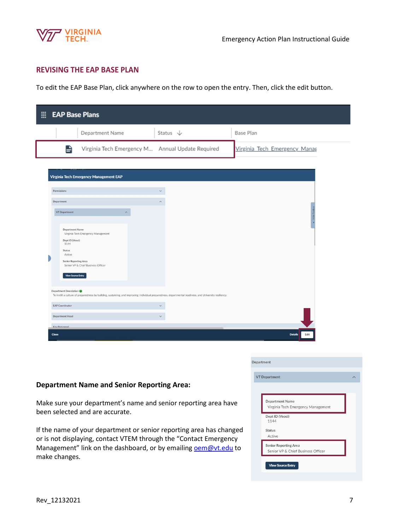

## <span id="page-6-0"></span>**REVISING THE EAP BASE PLAN**

To edit the EAP Base Plan, click anywhere on the row to open the entry. Then, click the edit button.

| <b>EAP Base Plans</b><br>Ξ                                                              |                 |                                                                                                                                                          |                               |
|-----------------------------------------------------------------------------------------|-----------------|----------------------------------------------------------------------------------------------------------------------------------------------------------|-------------------------------|
|                                                                                         | Department Name | Status $\downarrow$                                                                                                                                      | Base Plan                     |
| $\triangleq$                                                                            |                 | Virginia Tech Emergency M Annual Update Required                                                                                                         | Virginia Tech Emergency Manag |
| Virginia Tech Emergency Management EAP                                                  |                 |                                                                                                                                                          |                               |
| Permissions                                                                             |                 | $\checkmark$                                                                                                                                             |                               |
| Department<br>VT Department                                                             | $\lambda$       | $\sim$                                                                                                                                                   |                               |
| Department Name<br>Virginia Tech Emergency Management<br>Dept ID (Veoci)                |                 |                                                                                                                                                          |                               |
| 1144<br>Status<br>Active<br>Senior Reporting Area<br>Senior VP & Chief Business Officer |                 |                                                                                                                                                          |                               |
| <b>View Source Entry</b>                                                                |                 |                                                                                                                                                          |                               |
| Department Description                                                                  |                 | To instill a culture of preparedness by building, sustaining, and improving: individual preparedness, departmental readiness, and University resiliency. |                               |
| <b>EAP Coordinator</b>                                                                  |                 | $\checkmark$                                                                                                                                             |                               |
| Department Head                                                                         |                 | $\checkmark$                                                                                                                                             |                               |
| <b>Key Personnel</b>                                                                    |                 |                                                                                                                                                          |                               |
| <b>Close</b>                                                                            |                 |                                                                                                                                                          | <b>Details</b><br>Edit        |

#### <span id="page-6-1"></span>**Department Name and Senior Reporting Area:**

Make sure your department's name and senior reporting area have been selected and are accurate.

If the name of your department or senior reporting area has changed or is not displaying, contact VTEM through the "Contact Emergency Management" link on the dashboard, or by emailing **oem@vt.edu** to make changes.

| <b>VT Department</b>                                               |  |
|--------------------------------------------------------------------|--|
| <b>Department Name</b><br>Virginia Tech Emergency Management       |  |
| Dept ID (Veoci)<br>1144                                            |  |
| Status<br>Active                                                   |  |
| <b>Senior Reporting Area</b><br>Senior VP & Chief Business Officer |  |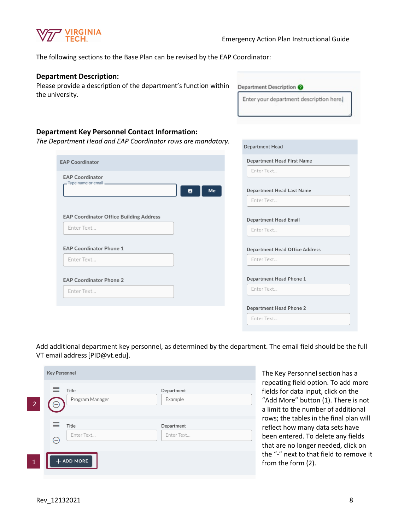

The following sections to the Base Plan can be revised by the EAP Coordinator:

#### <span id="page-7-0"></span>**Department Description:**

Please provide a description of the department's function within the university.

| Department Description @ |  |  |
|--------------------------|--|--|
|--------------------------|--|--|

Enter your department description here.

#### <span id="page-7-1"></span>**Department Key Personnel Contact Information:**

*The Department Head and EAP Coordinator rows are mandatory.*

| <b>EAP Coordinator</b>                               |   |    |
|------------------------------------------------------|---|----|
| <b>EAP Coordinator</b><br>Type name or email _______ | ē | Me |
| <b>EAP Coordinator Office Building Address</b>       |   |    |
| Enter Text                                           |   |    |
| <b>EAP Coordinator Phone 1</b><br>Enter Text         |   |    |
| <b>EAP Coordinator Phone 2</b>                       |   |    |
| Enter Text                                           |   |    |
|                                                      |   |    |
|                                                      |   |    |

| <b>Department Head</b>                |
|---------------------------------------|
| <b>Department Head First Name</b>     |
| Enter Text                            |
| Department Head Last Name             |
| Enter Text                            |
| <b>Department Head Email</b>          |
| Enter Text                            |
| <b>Department Head Office Address</b> |
| Enter Text                            |
| Department Head Phone 1               |
| Enter Text                            |
| Department Head Phone 2               |
| Enter Text                            |
|                                       |

Add additional department key personnel, as determined by the department. The email field should be the full VT email address[\[PID@vt.edu\]](mailto:PID@vt.edu).

|                | <b>Key Personnel</b>                          |                          |  |  |
|----------------|-----------------------------------------------|--------------------------|--|--|
| $\overline{2}$ | ≣<br>Title<br>Program Manager<br>÷,           | Department<br>Example    |  |  |
|                |                                               |                          |  |  |
|                | ≣<br>Title<br>Enter Text<br>$\left( -\right)$ | Department<br>Enter Text |  |  |

The Key Personnel section has a repeating field option. To add more fields for data input, click on the "Add More" button (1). There is not a limit to the number of additional rows; the tables in the final plan will reflect how many data sets have been entered. To delete any fields that are no longer needed, click on the "-" next to that field to remove it from the form (2).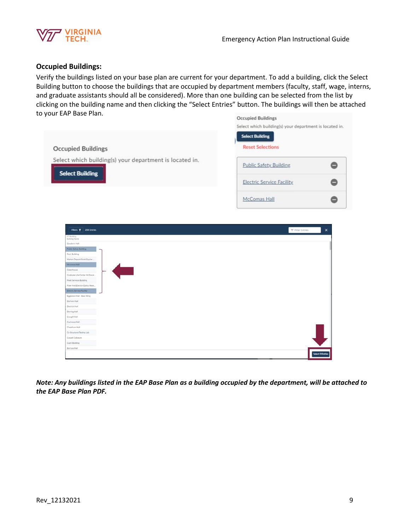

## <span id="page-8-0"></span>**Occupied Buildings:**

Verify the buildings listed on your base plan are current for your department. To add a building, click the Select Building button to choose the buildings that are occupied by department members (faculty, staff, wage, interns, and graduate assistants should all be considered). More than one building can be selected from the list by clicking on the building name and then clicking the "Select Entries" button. The buildings will then be attached to your EAP Base Plan.



*Note: Any buildings listed in the EAP Base Plan as a building occupied by the department, will be attached to the EAP Base Plan PDF.*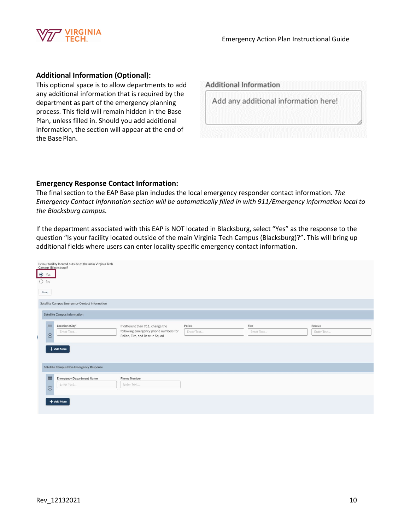

#### <span id="page-9-0"></span>**Additional Information (Optional):**

This optional space is to allow departments to add any additional information that is required by the department as part of the emergency planning process. This field will remain hidden in the Base Plan, unless filled in. Should you add additional information, the section will appear at the end of the Base Plan.

| <b>Additional Information</b> |  |
|-------------------------------|--|
|                               |  |

Add any additional information here!

## <span id="page-9-1"></span>**Emergency Response Contact Information:**

The final section to the EAP Base plan includes the local emergency responder contact information. *The Emergency Contact Information section will be automatically filled in with 911/Emergency information local to the Blacksburg campus.*

If the department associated with this EAP is NOT located in Blacksburg, select "Yes" as the response to the question "Is your facility located outside of the main Virginia Tech Campus (Blacksburg)?". This will bring up additional fields where users can enter locality specific emergency contact information.

| Campus (Blacksburg)?<br>$\bullet$ Yes<br>$O$ No<br>Reset | Is your facility located outside of the main Virginia Tech |                                                                                                              |                      |                    |                      |
|----------------------------------------------------------|------------------------------------------------------------|--------------------------------------------------------------------------------------------------------------|----------------------|--------------------|----------------------|
|                                                          | <b>Satellite Campus Emergency Contact Information</b>      |                                                                                                              |                      |                    |                      |
|                                                          | <b>Satellite Campus Information</b>                        |                                                                                                              |                      |                    |                      |
| 亖<br>$\Theta$                                            | Location (City)<br>Enter Text                              | If different than 911, change the<br>following emergency phone numbers for<br>Police, Fire, and Rescue Squad | Police<br>Enter Text | Fire<br>Enter Text | Rescue<br>Enter Text |
|                                                          | + Add More                                                 |                                                                                                              |                      |                    |                      |
|                                                          | <b>Satellite Campus Non-Emergency Response</b>             |                                                                                                              |                      |                    |                      |
| 亖<br>$\Theta$                                            | <b>Emergency Department Name</b><br>Enter Text             | <b>Phone Number</b><br>Enter Text                                                                            |                      |                    |                      |
|                                                          | + Add More                                                 |                                                                                                              |                      |                    |                      |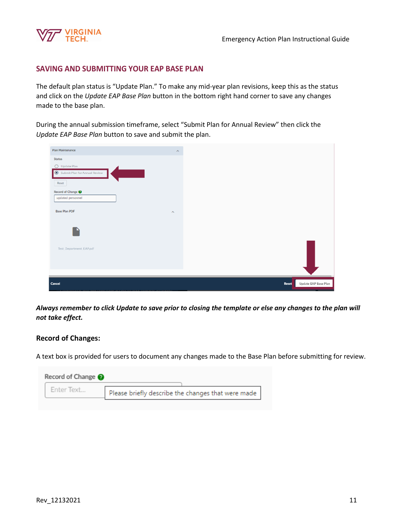

## <span id="page-10-0"></span>**SAVING AND SUBMITTING YOUR EAP BASE PLAN**

The default plan status is "Update Plan." To make any mid-year plan revisions, keep this as the status and click on the *Update EAP Base Plan* button in the bottom right hand corner to save any changes made to the base plan.

During the annual submission timeframe, select "Submit Plan for Annual Review" then click the *Update EAP Base Plan* button to save and submit the plan.

| Plan Maintenance                                                                                                        | $\boldsymbol{\wedge}$ |
|-------------------------------------------------------------------------------------------------------------------------|-----------------------|
| <b>Status</b>                                                                                                           |                       |
| Update Plan<br>$\bigcirc$<br>Submit Plan for Annual Review                                                              |                       |
| Reset                                                                                                                   |                       |
| Record of Change <sup>@</sup>                                                                                           |                       |
| updated personnel                                                                                                       |                       |
| <b>Base Plan PDF</b>                                                                                                    | $\boldsymbol{\wedge}$ |
|                                                                                                                         |                       |
|                                                                                                                         |                       |
|                                                                                                                         |                       |
|                                                                                                                         |                       |
| Test_Department_EAP.pdf                                                                                                 |                       |
|                                                                                                                         |                       |
|                                                                                                                         |                       |
|                                                                                                                         |                       |
| Cancel                                                                                                                  |                       |
| <u>LOCALITE DE LE POSTE DE VIDEO DE LA PROFESIO ALTRE DE LA COMPANYATION DE LA COMPANYATION DE LA COMPANYATION DE L</u> |                       |

*Always remember to click Update to save prior to closing the template or else any changes to the plan will not take effect.*

#### <span id="page-10-1"></span>**Record of Changes:**

A text box is provided for users to document any changes made to the Base Plan before submitting for review.

| Record of Change $\bullet$ |                                                    |
|----------------------------|----------------------------------------------------|
| Enter Text                 | Please briefly describe the changes that were made |